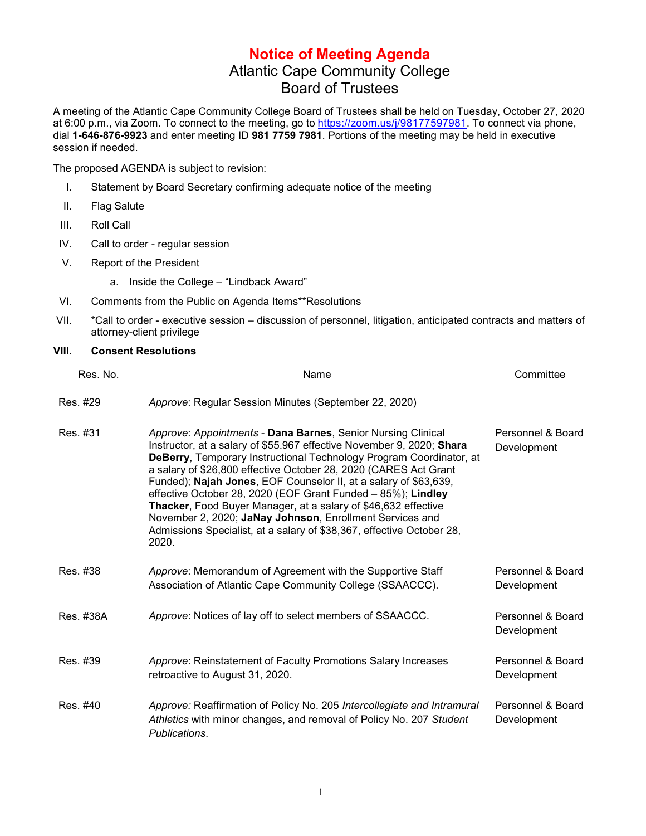## **Notice of Meeting Agenda** Atlantic Cape Community College Board of Trustees

A meeting of the Atlantic Cape Community College Board of Trustees shall be held on Tuesday, October 27, 2020 at 6:00 p.m., via Zoom. To connect to the meeting, go to https://zoom.us/j/98177597981</u>. To connect via phone, dial **1-646-876-9923** and enter meeting ID **981 7759 7981**. Portions of the meeting may be held in executive session if needed.

The proposed AGENDA is subject to revision:

- I. Statement by Board Secretary confirming adequate notice of the meeting
- II. Flag Salute
- III. Roll Call
- IV. Call to order regular session
- V. Report of the President
	- a. Inside the College "Lindback Award"
- VI. Comments from the Public on Agenda Items\*\*Resolutions
- VII. \*Call to order executive session discussion of personnel, litigation, anticipated contracts and matters of attorney-client privilege

## **VIII. Consent Resolutions**

| Res. No.  | Name                                                                                                                                                                                                                                                                                                                                                                                                                                                                                                                                                                                                                                        | Committee                        |
|-----------|---------------------------------------------------------------------------------------------------------------------------------------------------------------------------------------------------------------------------------------------------------------------------------------------------------------------------------------------------------------------------------------------------------------------------------------------------------------------------------------------------------------------------------------------------------------------------------------------------------------------------------------------|----------------------------------|
| Res. #29  | Approve: Regular Session Minutes (September 22, 2020)                                                                                                                                                                                                                                                                                                                                                                                                                                                                                                                                                                                       |                                  |
| Res. #31  | Approve: Appointments - Dana Barnes, Senior Nursing Clinical<br>Instructor, at a salary of \$55.967 effective November 9, 2020; Shara<br><b>DeBerry, Temporary Instructional Technology Program Coordinator, at</b><br>a salary of \$26,800 effective October 28, 2020 (CARES Act Grant<br>Funded); Najah Jones, EOF Counselor II, at a salary of \$63,639,<br>effective October 28, 2020 (EOF Grant Funded - 85%); Lindley<br>Thacker, Food Buyer Manager, at a salary of \$46,632 effective<br>November 2, 2020; JaNay Johnson, Enrollment Services and<br>Admissions Specialist, at a salary of \$38,367, effective October 28,<br>2020. | Personnel & Board<br>Development |
| Res. #38  | Approve: Memorandum of Agreement with the Supportive Staff<br>Association of Atlantic Cape Community College (SSAACCC).                                                                                                                                                                                                                                                                                                                                                                                                                                                                                                                     | Personnel & Board<br>Development |
| Res. #38A | Approve: Notices of lay off to select members of SSAACCC.                                                                                                                                                                                                                                                                                                                                                                                                                                                                                                                                                                                   | Personnel & Board<br>Development |
| Res. #39  | Approve: Reinstatement of Faculty Promotions Salary Increases<br>retroactive to August 31, 2020.                                                                                                                                                                                                                                                                                                                                                                                                                                                                                                                                            | Personnel & Board<br>Development |
| Res. #40  | Approve: Reaffirmation of Policy No. 205 Intercollegiate and Intramural<br>Athletics with minor changes, and removal of Policy No. 207 Student<br>Publications.                                                                                                                                                                                                                                                                                                                                                                                                                                                                             | Personnel & Board<br>Development |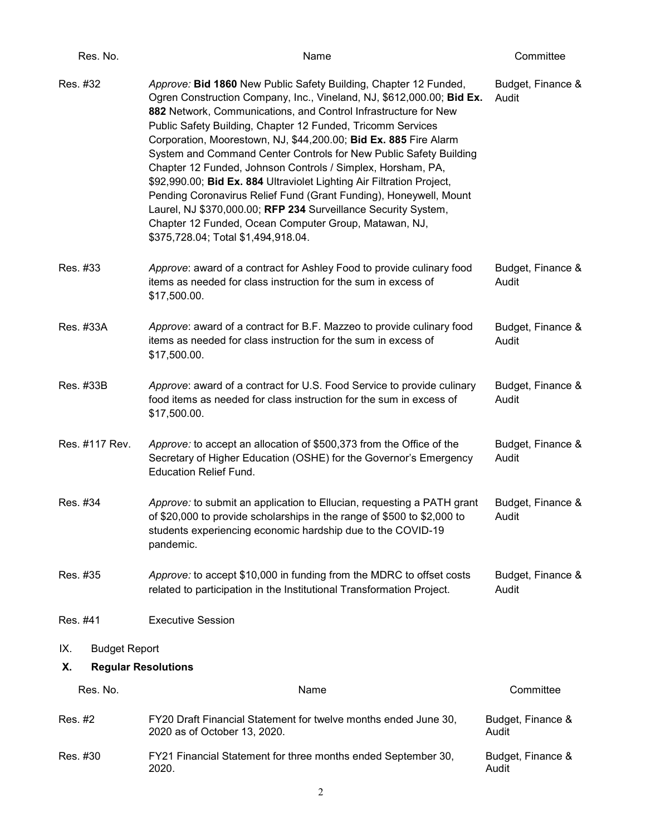| Res. No.                         | Name                                                                                                                                                                                                                                                                                                                                                                                                                                                                                                                                                                                                                                                                                                                                                                                                | Committee                  |  |  |
|----------------------------------|-----------------------------------------------------------------------------------------------------------------------------------------------------------------------------------------------------------------------------------------------------------------------------------------------------------------------------------------------------------------------------------------------------------------------------------------------------------------------------------------------------------------------------------------------------------------------------------------------------------------------------------------------------------------------------------------------------------------------------------------------------------------------------------------------------|----------------------------|--|--|
| Res. #32                         | Approve: Bid 1860 New Public Safety Building, Chapter 12 Funded,<br>Ogren Construction Company, Inc., Vineland, NJ, \$612,000.00; Bid Ex.<br>882 Network, Communications, and Control Infrastructure for New<br>Public Safety Building, Chapter 12 Funded, Tricomm Services<br>Corporation, Moorestown, NJ, \$44,200.00; Bid Ex. 885 Fire Alarm<br>System and Command Center Controls for New Public Safety Building<br>Chapter 12 Funded, Johnson Controls / Simplex, Horsham, PA,<br>\$92,990.00; Bid Ex. 884 Ultraviolet Lighting Air Filtration Project,<br>Pending Coronavirus Relief Fund (Grant Funding), Honeywell, Mount<br>Laurel, NJ \$370,000.00; RFP 234 Surveillance Security System,<br>Chapter 12 Funded, Ocean Computer Group, Matawan, NJ,<br>\$375,728.04; Total \$1,494,918.04. | Budget, Finance &<br>Audit |  |  |
| Res. #33                         | Approve: award of a contract for Ashley Food to provide culinary food<br>items as needed for class instruction for the sum in excess of<br>\$17,500.00.                                                                                                                                                                                                                                                                                                                                                                                                                                                                                                                                                                                                                                             | Budget, Finance &<br>Audit |  |  |
| Res. #33A                        | Approve: award of a contract for B.F. Mazzeo to provide culinary food<br>items as needed for class instruction for the sum in excess of<br>\$17,500.00.                                                                                                                                                                                                                                                                                                                                                                                                                                                                                                                                                                                                                                             | Budget, Finance &<br>Audit |  |  |
| Res. #33B                        | Approve: award of a contract for U.S. Food Service to provide culinary<br>food items as needed for class instruction for the sum in excess of<br>\$17,500.00.                                                                                                                                                                                                                                                                                                                                                                                                                                                                                                                                                                                                                                       | Budget, Finance &<br>Audit |  |  |
| Res. #117 Rev.                   | Approve: to accept an allocation of \$500,373 from the Office of the<br>Secretary of Higher Education (OSHE) for the Governor's Emergency<br><b>Education Relief Fund.</b>                                                                                                                                                                                                                                                                                                                                                                                                                                                                                                                                                                                                                          | Budget, Finance &<br>Audit |  |  |
| Res. #34                         | Approve: to submit an application to Ellucian, requesting a PATH grant<br>of \$20,000 to provide scholarships in the range of \$500 to \$2,000 to<br>students experiencing economic hardship due to the COVID-19<br>pandemic.                                                                                                                                                                                                                                                                                                                                                                                                                                                                                                                                                                       | Budget, Finance &<br>Audit |  |  |
| Res. #35                         | Approve: to accept \$10,000 in funding from the MDRC to offset costs<br>related to participation in the Institutional Transformation Project.                                                                                                                                                                                                                                                                                                                                                                                                                                                                                                                                                                                                                                                       | Budget, Finance &<br>Audit |  |  |
| Res. #41                         | <b>Executive Session</b>                                                                                                                                                                                                                                                                                                                                                                                                                                                                                                                                                                                                                                                                                                                                                                            |                            |  |  |
| <b>Budget Report</b><br>IX.      |                                                                                                                                                                                                                                                                                                                                                                                                                                                                                                                                                                                                                                                                                                                                                                                                     |                            |  |  |
| Χ.<br><b>Regular Resolutions</b> |                                                                                                                                                                                                                                                                                                                                                                                                                                                                                                                                                                                                                                                                                                                                                                                                     |                            |  |  |
| Res. No.                         | Name                                                                                                                                                                                                                                                                                                                                                                                                                                                                                                                                                                                                                                                                                                                                                                                                | Committee                  |  |  |
| Res. #2                          | FY20 Draft Financial Statement for twelve months ended June 30,<br>2020 as of October 13, 2020.                                                                                                                                                                                                                                                                                                                                                                                                                                                                                                                                                                                                                                                                                                     | Budget, Finance &<br>Audit |  |  |
| Res. #30                         | FY21 Financial Statement for three months ended September 30,<br>2020.                                                                                                                                                                                                                                                                                                                                                                                                                                                                                                                                                                                                                                                                                                                              | Budget, Finance &<br>Audit |  |  |